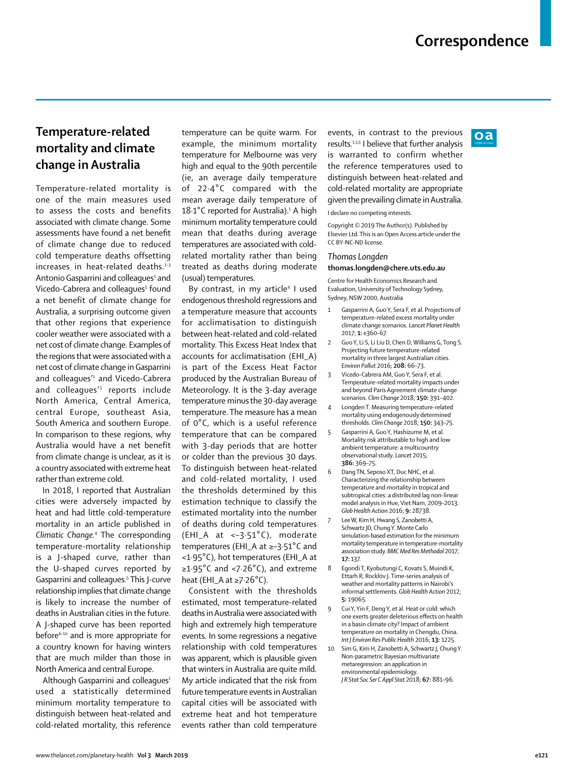$\Omega$ 

# **Temperature-related mortality and climate change in Australia**

Temperature-related mortality is one of the main measures used to assess the costs and benefits associated with climate change. Some assessments have found a net benefit of climate change due to reduced cold temperature deaths offsetting increases in heat-related deaths.<sup>1-3</sup> Antonio Gasparrini and colleagues<sup>1</sup> and Vicedo-Cabrera and colleagues<sup>3</sup> found a net benefit of climate change for Australia, a surprising outcome given that other regions that experience cooler weather were associated with a net cost of climate change. Examples of the regions that were associated with a net cost of climate change in Gasparrini and colleagues'1 and Vicedo-Cabrera and colleagues'3 reports include North America, Central America, central Europe, southeast Asia, South America and southern Europe. In comparison to these regions, why Australia would have a net benefit from climate change is unclear, as it is a country associated with extreme heat rather than extreme cold.

In 2018, I reported that Australian cities were adversely impacted by heat and had little cold-temperature mortality in an article published in *Climatic Change.*<sup>4</sup> The corresponding temperature-mortality relationship is a J-shaped curve, rather than the U-shaped curves reported by Gasparrini and colleagues.<sup>5</sup> This J-curve relationship implies that climate change is likely to increase the number of deaths in Australian cities in the future. A J-shaped curve has been reported before<sup>6-10</sup> and is more appropriate for a country known for having winters that are much milder than those in North America and central Europe.

Although Gasparrini and colleagues $1$ used a statistically determined minimum mortality temperature to distinguish between heat-related and cold-related mortality, this reference temperature can be quite warm. For example, the minimum mortality temperature for Melbourne was very high and equal to the 90th percentile (ie, an average daily temperature of 22·4°C compared with the mean average daily temperature of  $18.1^{\circ}$ C reported for Australia).<sup>1</sup> A high minimum mortality temperature could mean that deaths during average temperatures are associated with coldrelated mortality rather than being treated as deaths during moderate (usual) temperatures.

By contrast, in my article4 I used endogenous threshold regressions and a temperature measure that accounts for acclimatisation to distinguish between heat-related and cold-related mortality. This Excess Heat Index that accounts for acclimatisation (EHI\_A) is part of the Excess Heat Factor produced by the Australian Bureau of Meteorology. It is the 3-day average temperature minus the 30-day average temperature. The measure has a mean of 0°C, which is a useful reference temperature that can be compared with 3-day periods that are hotter or colder than the previous 30 days. To distinguish between heat-related and cold-related mortality, I used the thresholds determined by this estimation technique to classify the estimated mortality into the number of deaths during cold temperatures (EHI\_A at <–3·51°C), moderate temperatures (EHI\_A at ≥–3·51°C and <1·95°C), hot temperatures (EHI\_A at ≥1·95°C and <7·26°C), and extreme heat (EHI\_A at ≥7·26°C).

Consistent with the thresholds estimated, most temperature-related deaths in Australia were associated with high and extremely high temperature events. In some regressions a negative relationship with cold temperatures was apparent, which is plausible given that winters in Australia are quite mild. My article indicated that the risk from future temperature events in Australian capital cities will be associated with extreme heat and hot temperature events rather than cold temperature events, in contrast to the previous results.1,3,5 I believe that further analysis is warranted to confirm whether the reference temperatures used to distinguish between heat-related and cold-related mortality are appropriate given the prevailing climate in Australia.

I declare no competing interests.

Copyright © 2019 The Author(s). Published by Elsevier Ltd. This is an Open Access article under the CC BY-NC-ND license.

### *Thomas Longden* **thomas.longden@chere.uts.edu.au**

Centre for Health Economics Research and Evaluation, University of Technology Sydney, Sydney, NSW 2000, Australia

- 1 Gasparrini A, Guo Y, Sera F, et al. Projections of temperature-related excess mortality under climate change scenarios. *Lancet Planet Health* 2017; **1:** e360–67.
- 2 Guo Y, Li S, Li Liu D, Chen D, Williams G, Tong S. Projecting future temperature-related mortality in three largest Australian cities. *Environ Pollut* 2016; **208:** 66–73.
- 3 Vicedo-Cabrera AM, Guo Y, Sera F, et al. Temperature-related mortality impacts under and beyond Paris Agreement climate change scenarios. *Clim Change* 2018; **150:** 391–402.
- 4 Longden T. Measuring temperature-related mortality using endogenously determined thresholds. *Clim Change* 2018; **150:** 343–75.
- 5 Gasparrini A, Guo Y, Hashizume M, et al. Mortality risk attributable to high and low ambient temperature: a multicountry observational study. *Lancet* 2015; **386:** 369–75.
- Dang TN, Seposo XT, Duc NHC, et al. Characterizing the relationship between temperature and mortality in tropical and subtropical cities: a distributed lag non-linear model analysis in Hue, Viet Nam, 2009–2013. *Glob Health Action* 2016; **9:** 28738.
- Lee W, Kim H, Hwang S, Zanobetti A, Schwartz JD, Chung Y. Monte Carlo simulation-based estimation for the minimum mortality temperature in temperature-mortality association study. *BMC Med Res Methodol* 2017; **17:** 137.
- 8 Egondi T, Kyobutungi C, Kovats S, Muindi K, Ettarh R, Rocklöv J. Time-series analysis of weather and mortality patterns in Nairobi's informal settlements. *Glob Health Action* 2012; **5:** 19065.
- Cui Y, Yin F, Deng Y, et al. Heat or cold: which one exerts greater deleterious effects on health in a basin climate city? Impact of ambient temperature on mortality in Chengdu, China. *Int J Environ Res Public Health* 2016; **13:** 1225.
- 10 Sim G, Kim H, Zanobetti A, Schwartz J, Chung Y. Non-parametric Bayesian multivariate metaregression: an application in environmental epidemiology. *J R Stat Soc Ser C Appl Stat* 2018; **67:** 881–96.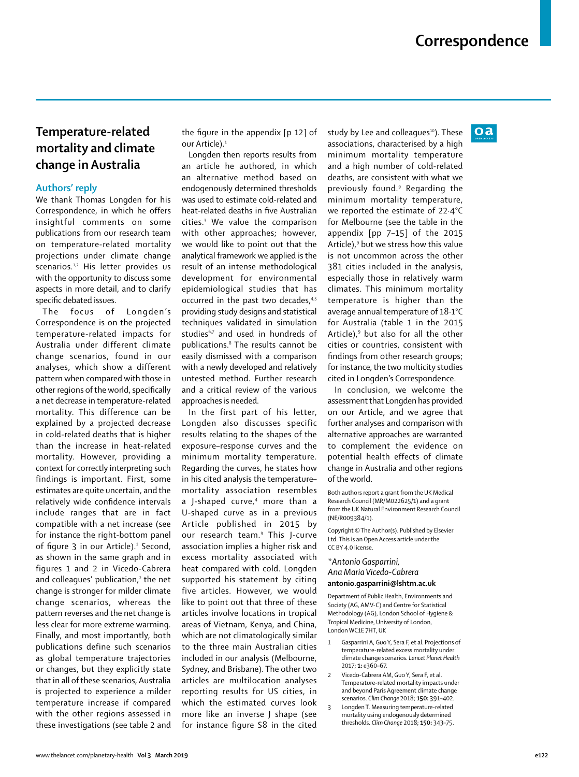$oa$ 

## **Temperature-related mortality and climate change in Australia**

### **Authors' reply**

We thank Thomas Longden for his Correspondence, in which he offers insightful comments on some publications from our research team on temperature-related mortality projections under climate change scenarios.<sup>1,2</sup> His letter provides us with the opportunity to discuss some aspects in more detail, and to clarify specific debated issues.

The focus of Longden's Correspondence is on the projected temperature-related impacts for Australia under different climate change scenarios, found in our analyses, which show a different pattern when compared with those in other regions of the world, specifically a net decrease in temperature-related mortality. This difference can be explained by a projected decrease in cold-related deaths that is higher than the increase in heat-related mortality. However, providing a context for correctly interpreting such findings is important. First, some estimates are quite uncertain, and the relatively wide confidence intervals include ranges that are in fact compatible with a net increase (see for instance the right-bottom panel of figure 3 in our Article).<sup>1</sup> Second, as shown in the same graph and in figures 1 and 2 in Vicedo-Cabrera and colleagues' publication,<sup>2</sup> the net change is stronger for milder climate change scenarios, whereas the pattern reverses and the net change is less clear for more extreme warming. Finally, and most importantly, both publications define such scenarios as global temperature trajectories or changes, but they explicitly state that in all of these scenarios, Australia is projected to experience a milder temperature increase if compared with the other regions assessed in these investigations (see table 2 and the figure in the appendix [p 12] of our Article).<sup>1</sup>

Longden then reports results from an article he authored, in which an alternative method based on endogenously determined thresholds was used to estimate cold-related and heat-related deaths in five Australian cities.3 We value the comparison with other approaches; however, we would like to point out that the analytical framework we applied is the result of an intense methodological development for environmental epidemiological studies that has occurred in the past two decades,<sup>4,5</sup> providing study designs and statistical techniques validated in simulation studies<sup>6,7</sup> and used in hundreds of publications.8 The results cannot be easily dismissed with a comparison with a newly developed and relatively untested method. Further research and a critical review of the various approaches is needed.

In the first part of his letter, Longden also discusses specific results relating to the shapes of the exposure–response curves and the minimum mortality temperature. Regarding the curves, he states how in his cited analysis the temperature– mortality association resembles a J-shaped curve,<sup>4</sup> more than a U-shaped curve as in a previous Article published in 2015 by our research team.<sup>9</sup> This J-curve association implies a higher risk and excess mortality associated with heat compared with cold. Longden supported his statement by citing five articles. However, we would like to point out that three of these articles involve locations in tropical areas of Vietnam, Kenya, and China, which are not climatologically similar to the three main Australian cities included in our analysis (Melbourne, Sydney, and Brisbane). The other two articles are multilocation analyses reporting results for US cities, in which the estimated curves look more like an inverse J shape (see for instance figure S8 in the cited

study by Lee and colleagues<sup>10</sup>). These associations, characterised by a high minimum mortality temperature and a high number of cold-related deaths, are consistent with what we previously found.9 Regarding the minimum mortality temperature, we reported the estimate of 22·4°C for Melbourne (see the table in the appendix [pp 7–15] of the 2015 Article),<sup>9</sup> but we stress how this value is not uncommon across the other 381 cities included in the analysis, especially those in relatively warm climates. This minimum mortality temperature is higher than the average annual temperature of 18·1°C for Australia (table 1 in the 2015 Article), $9$  but also for all the other cities or countries, consistent with findings from other research groups; for instance, the two multicity studies cited in Longden's Correspondence.

In conclusion, we welcome the assessment that Longden has provided on our Article, and we agree that further analyses and comparison with alternative approaches are warranted to complement the evidence on potential health effects of climate change in Australia and other regions of the world.

Both authors report a grant from the UK Medical Research Council (MR/M022625/1) and a grant from the UK Natural Environment Research Council (NE/R009384/1).

Copyright © The Author(s). Published by Elsevier Ltd. This is an Open Access article under the CC BY 4.0 license.

#### *\*Antonio Gasparrini, Ana Maria Vicedo-Cabrera* **[antonio.gasparrini@lshtm.ac.uk](mailto:antonio.gasparrini@lshtm.ac.uk)**

Department of Public Health, Environments and Society (AG, AMV-C) and Centre for Statistical Methodology (AG), London School of Hygiene & Tropical Medicine, University of London, London WC1E 7HT, UK

- Gasparrini A, Guo Y, Sera F, et al. Projections of temperature-related excess mortality under climate change scenarios. *Lancet Planet Health*  2017; **1:** e360–67.
- 2 Vicedo-Cabrera AM, Guo Y, Sera F, et al. Temperature-related mortality impacts under and beyond Paris Agreement climate change scenarios. *Clim Change* 2018; **150:** 391–402.
- 3 Longden T. Measuring temperature-related mortality using endogenously determined thresholds. *Clim Change* 2018; **150:** 343–75.